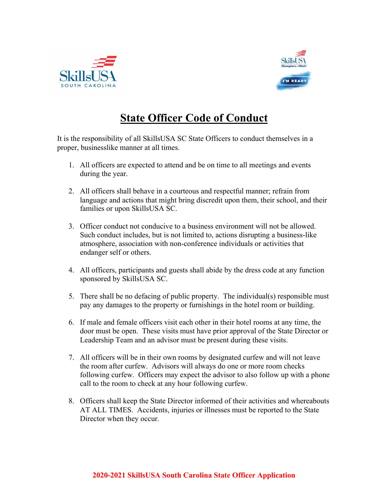



## **State Officer Code of Conduct**

It is the responsibility of all SkillsUSA SC State Officers to conduct themselves in a proper, businesslike manner at all times.

- 1. All officers are expected to attend and be on time to all meetings and events during the year.
- 2. All officers shall behave in a courteous and respectful manner; refrain from language and actions that might bring discredit upon them, their school, and their families or upon SkillsUSA SC.
- 3. Officer conduct not conducive to a business environment will not be allowed. Such conduct includes, but is not limited to, actions disrupting a business-like atmosphere, association with non-conference individuals or activities that endanger self or others.
- 4. All officers, participants and guests shall abide by the dress code at any function sponsored by SkillsUSA SC.
- 5. There shall be no defacing of public property. The individual(s) responsible must pay any damages to the property or furnishings in the hotel room or building.
- 6. If male and female officers visit each other in their hotel rooms at any time, the door must be open. These visits must have prior approval of the State Director or Leadership Team and an advisor must be present during these visits.
- 7. All officers will be in their own rooms by designated curfew and will not leave the room after curfew. Advisors will always do one or more room checks following curfew. Officers may expect the advisor to also follow up with a phone call to the room to check at any hour following curfew.
- 8. Officers shall keep the State Director informed of their activities and whereabouts AT ALL TIMES. Accidents, injuries or illnesses must be reported to the State Director when they occur.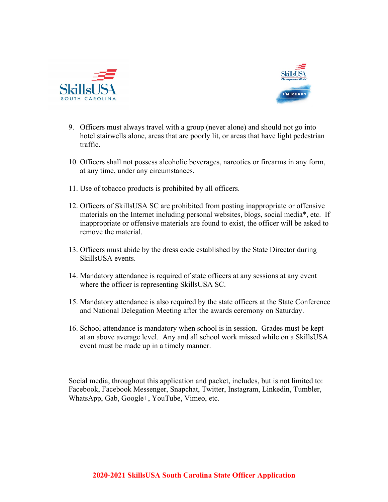



- 9. Officers must always travel with a group (never alone) and should not go into hotel stairwells alone, areas that are poorly lit, or areas that have light pedestrian traffic.
- 10. Officers shall not possess alcoholic beverages, narcotics or firearms in any form, at any time, under any circumstances.
- 11. Use of tobacco products is prohibited by all officers.
- 12. Officers of SkillsUSA SC are prohibited from posting inappropriate or offensive materials on the Internet including personal websites, blogs, social media\*, etc. If inappropriate or offensive materials are found to exist, the officer will be asked to remove the material.
- 13. Officers must abide by the dress code established by the State Director during SkillsUSA events.
- 14. Mandatory attendance is required of state officers at any sessions at any event where the officer is representing SkillsUSA SC.
- 15. Mandatory attendance is also required by the state officers at the State Conference and National Delegation Meeting after the awards ceremony on Saturday.
- 16. School attendance is mandatory when school is in session. Grades must be kept at an above average level. Any and all school work missed while on a SkillsUSA event must be made up in a timely manner.

Social media, throughout this application and packet, includes, but is not limited to: Facebook, Facebook Messenger, Snapchat, Twitter, Instagram, Linkedin, Tumbler, WhatsApp, Gab, Google+, YouTube, Vimeo, etc.